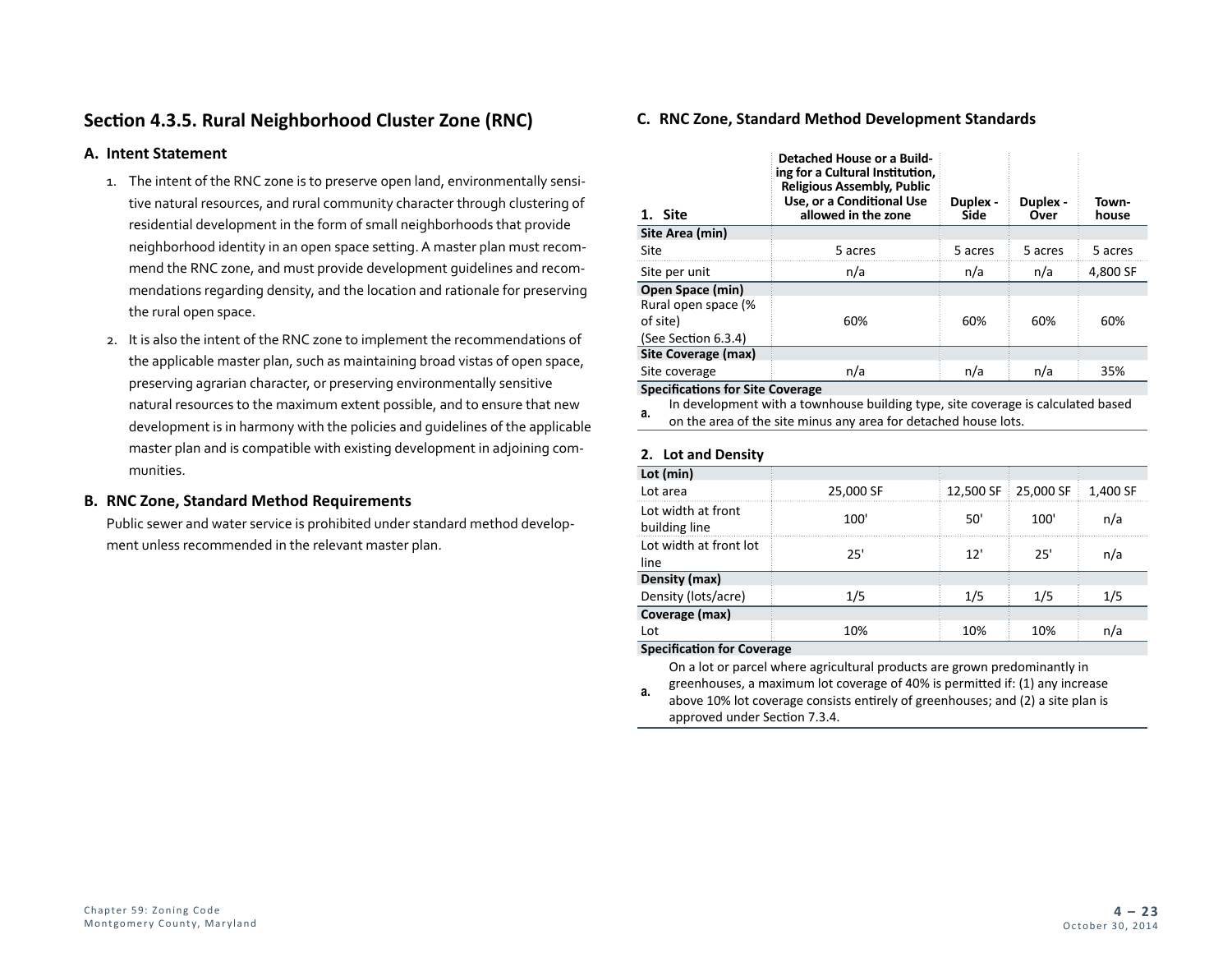# **Section 4.3.5. Rural Neighborhood Cluster Zone (RNC)**

### **A. Intent Statement**

- 1. The intent of the RNC zone is to preserve open land, environmentally sensitive natural resources, and rural community character through clustering of residential development in the form of small neighborhoods that provide neighborhood identity in an open space setting. A master plan must recommend the RNC zone, and must provide development guidelines and recommendations regarding density, and the location and rationale for preserving the rural open space.
- 2. It is also the intent of the RNC zone to implement the recommendations of the applicable master plan, such as maintaining broad vistas of open space, preserving agrarian character, or preserving environmentally sensitive natural resources to the maximum extent possible, and to ensure that new development is in harmony with the policies and guidelines of the applicable master plan and is compatible with existing development in adjoining communities.

# **B. RNC Zone, Standard Method Requirements**

Public sewer and water service is prohibited under standard method development unless recommended in the relevant master plan.

# **C. RNC Zone, Standard Method Development Standards**

| Detached House or a Build-<br>ing for a Cultural Institution,<br><b>Religious Assembly, Public</b><br>Use, or a Conditional Use<br>allowed in the zone | Duplex -<br>Side | Duplex -<br>Over | Town-<br>house |
|--------------------------------------------------------------------------------------------------------------------------------------------------------|------------------|------------------|----------------|
|                                                                                                                                                        |                  |                  |                |
| 5 acres                                                                                                                                                | 5 acres          | 5 acres          | 5 acres        |
| n/a                                                                                                                                                    | n/a              | n/a              | 4,800 SF       |
|                                                                                                                                                        |                  |                  |                |
|                                                                                                                                                        |                  |                  |                |
| 60%                                                                                                                                                    | 60%              | 60%              | 60%            |
|                                                                                                                                                        |                  |                  |                |
|                                                                                                                                                        |                  |                  |                |
| n/a                                                                                                                                                    | n/a              | n/a              | 35%            |
|                                                                                                                                                        |                  |                  |                |

**Specifications for Site Coverage**

**a.** In development with a townhouse building type, site coverage is calculated based on the area of the site minus any area for detached house lots.

# **2. Lot and Density**

| Lot (min)                           |           |           |           |          |
|-------------------------------------|-----------|-----------|-----------|----------|
| Lot area                            | 25,000 SF | 12,500 SF | 25,000 SF | 1,400 SF |
| Lot width at front<br>building line | 100'      | 50'       | 100'      | n/a      |
| Lot width at front lot<br>line      | 25'       | 12'       | 25'       | n/a      |
| Density (max)                       |           |           |           |          |
| Density (lots/acre)                 | 1/5       | 1/5       | 1/5       | 1/5      |
| Coverage (max)                      |           |           |           |          |
| Lot                                 | 10%       | 10%       | 10%       | n/a      |

#### **Specification for Coverage**

On a lot or parcel where agricultural products are grown predominantly in greenhouses, a maximum lot coverage of 40% is permitted if: (1) any increase

**a.** above 10% lot coverage consists entirely of greenhouses; and (2) a site plan is approved under Section 7.3.4.